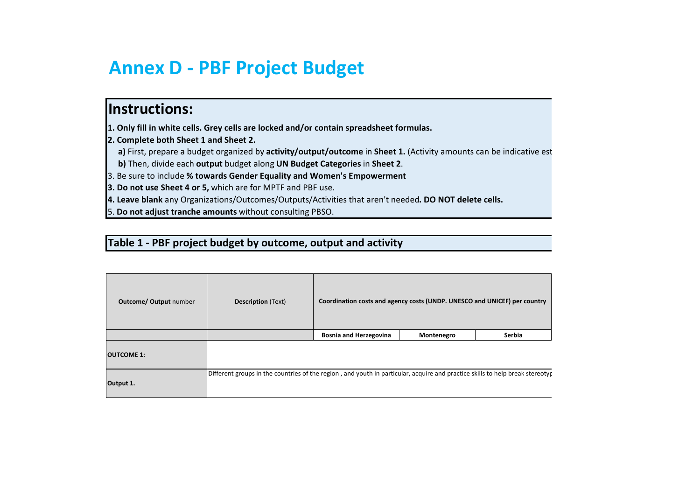## **Annex D - PBF Project Budget**

## **Instructions:**

**1. Only fill in white cells. Grey cells are locked and/or contain spreadsheet formulas.**

**2. Complete both Sheet 1 and Sheet 2.** 

a) First, prepare a budget organized by activity/output/outcome in Sheet 1. (Activity amounts can be indicative est

**b)** Then, divide each **output** budget along **UN Budget Categories** in **Sheet 2**.

3. Be sure to include **% towards Gender Equality and Women's Empowerment**

**3. Do not use Sheet 4 or 5,** which are for MPTF and PBF use.

**4. Leave blank** any Organizations/Outcomes/Outputs/Activities that aren't needed**. DO NOT delete cells.**

5. **Do not adjust tranche amounts** without consulting PBSO.

## **Table 1 - PBF project budget by outcome, output and activity**

| <b>Outcome/ Output number</b>                                                                                                              | <b>Description</b> (Text) | Coordination costs and agency costs (UNDP. UNESCO and UNICEF) per country |            |        |  |
|--------------------------------------------------------------------------------------------------------------------------------------------|---------------------------|---------------------------------------------------------------------------|------------|--------|--|
|                                                                                                                                            |                           | <b>Bosnia and Herzegovina</b>                                             | Montenegro | Serbia |  |
| <b>OUTCOME 1:</b>                                                                                                                          |                           |                                                                           |            |        |  |
| Different groups in the countries of the region, and youth in particular, acquire and practice skills to help break stereotyp<br>Output 1. |                           |                                                                           |            |        |  |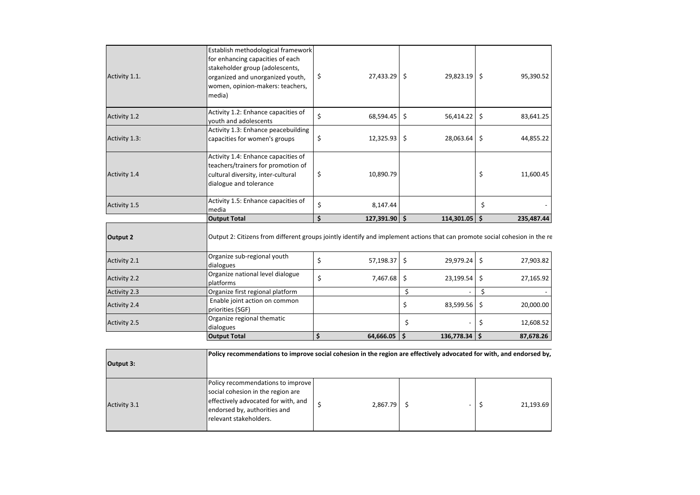|                     | <b>Output Total</b>                                                                                                                                                                         | \$ | 64,666.05       | Ŝ.                 | $136,778.34$ \$ | 87,678.26       |
|---------------------|---------------------------------------------------------------------------------------------------------------------------------------------------------------------------------------------|----|-----------------|--------------------|-----------------|-----------------|
| Activity 2.5        | Organize regional thematic<br>dialogues                                                                                                                                                     |    |                 | \$                 |                 | \$<br>12,608.52 |
| <b>Activity 2.4</b> | Enable joint action on common<br>priorities (SGF)                                                                                                                                           |    |                 | \$                 | 83,599.56       | \$<br>20,000.00 |
| Activity 2.3        | Organize first regional platform                                                                                                                                                            |    |                 | \$                 |                 | \$              |
| <b>Activity 2.2</b> | Organize national level dialogue<br>platforms                                                                                                                                               | \$ | 7,467.68        | \$                 | 23,199.54       | \$<br>27,165.92 |
| Activity 2.1        | Organize sub-regional youth<br>dialogues                                                                                                                                                    | \$ | 57,198.37       | $\ddot{\varsigma}$ | 29,979.24       | \$<br>27,903.82 |
| Output 2            | <b>Output Total</b><br>Output 2: Citizens from different groups jointly identify and implement actions that can promote social cohesion in the re                                           | Ś  | $127,391.90$ \$ |                    | $114,301.05$ \$ | 235,487.44      |
|                     | media                                                                                                                                                                                       |    |                 |                    |                 |                 |
| Activity 1.5        | Activity 1.5: Enhance capacities of                                                                                                                                                         | \$ | 8,147.44        |                    |                 | \$              |
| Activity 1.4        | Activity 1.4: Enhance capacities of<br>teachers/trainers for promotion of<br>cultural diversity, inter-cultural<br>dialogue and tolerance                                                   | \$ | 10,890.79       |                    |                 | \$<br>11,600.45 |
| Activity 1.3:       | Activity 1.3: Enhance peacebuilding<br>capacities for women's groups                                                                                                                        | \$ | 12,325.93       | \$                 | 28,063.64       | \$<br>44,855.22 |
| Activity 1.2        | Activity 1.2: Enhance capacities of<br>youth and adolescents                                                                                                                                | \$ | 68,594.45       | \$                 | 56,414.22       | \$<br>83,641.25 |
| Activity 1.1.       | Establish methodological framework<br>for enhancing capacities of each<br>stakeholder group (adolescents,<br>organized and unorganized youth,<br>women, opinion-makers: teachers,<br>media) | \$ | 27,433.29       | -\$                | 29,823.19       | \$<br>95,390.52 |
|                     |                                                                                                                                                                                             |    |                 |                    |                 |                 |

| Output 3:    | Policy recommendations to improve social cohesion in the region are effectively advocated for with, and endorsed by,                                                     |  |               |  |  |  |           |
|--------------|--------------------------------------------------------------------------------------------------------------------------------------------------------------------------|--|---------------|--|--|--|-----------|
| Activity 3.1 | Policy recommendations to improve<br>social cohesion in the region are<br>effectively advocated for with, and<br>endorsed by, authorities and<br>Irelevant stakeholders. |  | $2,867.79$ \$ |  |  |  | 21,193.69 |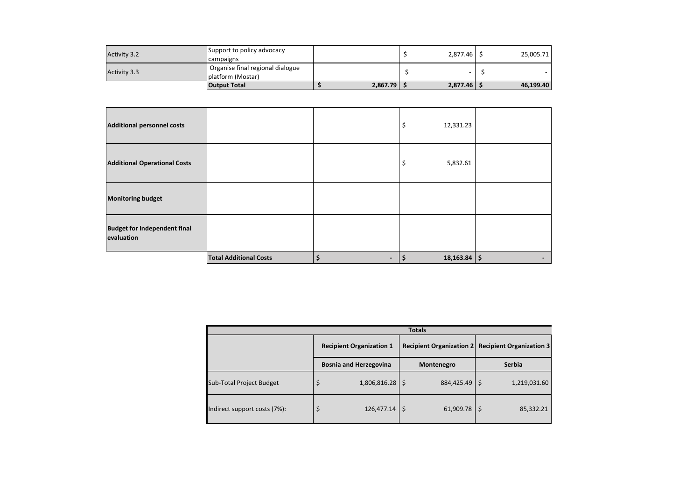| <b>Activity 3.2</b> | Support to policy advocacy<br><b>campaigns</b>         |          | 2,877.46 | 25,005.71 |
|---------------------|--------------------------------------------------------|----------|----------|-----------|
| <b>Activity 3.3</b> | Organise final regional dialogue<br>Iplatform (Mostar) |          |          |           |
|                     | <b>Output Total</b>                                    | 2,867.79 | 2,877.46 | 46,199.40 |

| <b>Additional personnel costs</b>                 |                               | \$       | 12,331.23      |   |
|---------------------------------------------------|-------------------------------|----------|----------------|---|
| <b>Additional Operational Costs</b>               |                               | \$       | 5,832.61       |   |
| <b>Monitoring budget</b>                          |                               |          |                |   |
| <b>Budget for independent final</b><br>evaluation |                               |          |                |   |
|                                                   | <b>Total Additional Costs</b> | \$<br>\$ | $18,163.84$ \$ | - |

| <b>Totals</b>                   |                                 |            |                                                     |  |  |  |  |
|---------------------------------|---------------------------------|------------|-----------------------------------------------------|--|--|--|--|
|                                 | <b>Recipient Organization 1</b> |            | Recipient Organization 2   Recipient Organization 3 |  |  |  |  |
|                                 | <b>Bosnia and Herzegovina</b>   | Montenegro | <b>Serbia</b>                                       |  |  |  |  |
| <b>Sub-Total Project Budget</b> | $1,806,816.28$   \$<br>\$       | 884,425.49 | 1,219,031.60<br>S                                   |  |  |  |  |
| Indirect support costs (7%):    | $126,477.14$   \$               | 61,909.78  | 85,332.21<br>\$                                     |  |  |  |  |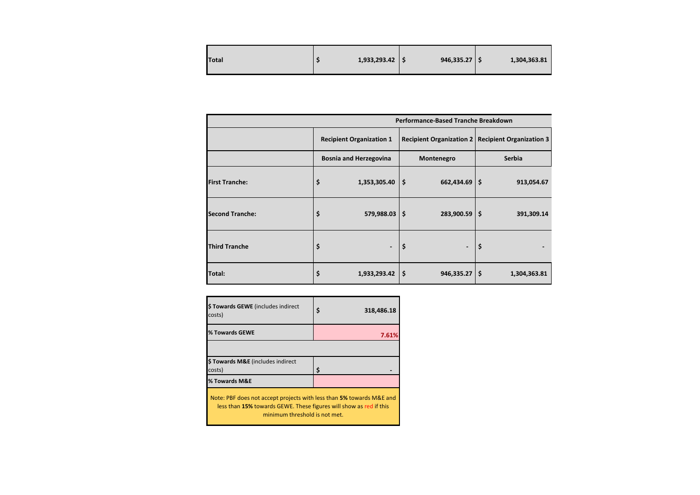| <b>Total</b> |  | 1,933,293.42 |  | $946,335.27$ $\frac{1}{5}$ |  | 1,304,363.81 |
|--------------|--|--------------|--|----------------------------|--|--------------|
|--------------|--|--------------|--|----------------------------|--|--------------|

|                        | Performance-Based Tranche Breakdown |                                         |                                                     |  |  |  |  |  |
|------------------------|-------------------------------------|-----------------------------------------|-----------------------------------------------------|--|--|--|--|--|
|                        | <b>Recipient Organization 1</b>     |                                         | Recipient Organization 2   Recipient Organization 3 |  |  |  |  |  |
|                        | <b>Bosnia and Herzegovina</b>       | Montenegro                              | <b>Serbia</b>                                       |  |  |  |  |  |
| <b>First Tranche:</b>  | \$<br>1,353,305.40                  | $\dot{\mathsf{s}}$<br>$662,434.69$ \ \$ | 913,054.67                                          |  |  |  |  |  |
| <b>Second Tranche:</b> | \$<br>579,988.03                    | $\dot{\mathsf{s}}$<br>$283,900.59$   \$ | 391,309.14                                          |  |  |  |  |  |
| <b>Third Tranche</b>   | \$                                  | \$<br>$\overline{\phantom{a}}$          | \$                                                  |  |  |  |  |  |
| Total:                 | \$<br>1,933,293.42                  | Ŝ.<br>946,335.27                        | 1\$<br>1,304,363.81                                 |  |  |  |  |  |

| \$ Towards GEWE (includes indirect<br>costs)                                                                                                                                | \$<br>318,486.18 |  |  |  |  |  |  |
|-----------------------------------------------------------------------------------------------------------------------------------------------------------------------------|------------------|--|--|--|--|--|--|
| % Towards GEWE                                                                                                                                                              | 7.61%            |  |  |  |  |  |  |
|                                                                                                                                                                             |                  |  |  |  |  |  |  |
| \$ Towards M&E (includes indirect                                                                                                                                           |                  |  |  |  |  |  |  |
| costs)                                                                                                                                                                      | Ś                |  |  |  |  |  |  |
| % Towards M&E                                                                                                                                                               |                  |  |  |  |  |  |  |
| Note: PBF does not accept projects with less than 5% towards M&E and<br>less than 15% towards GEWE. These figures will show as red if this<br>minimum threshold is not met. |                  |  |  |  |  |  |  |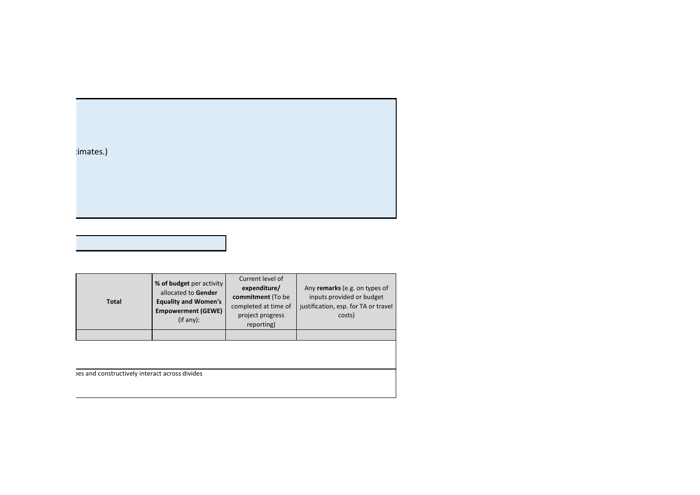|  | imates.) |
|--|----------|
|  |          |

| <b>Total</b> | % of budget per activity<br>allocated to Gender<br><b>Equality and Women's</b><br><b>Empowerment (GEWE)</b><br>(if any): | Current level of<br>expenditure/<br>commitment (To be<br>completed at time of<br>project progress<br>reporting) | Any remarks (e.g. on types of<br>inputs provided or budget<br>justification, esp. for TA or travel<br>costs) |  |
|--------------|--------------------------------------------------------------------------------------------------------------------------|-----------------------------------------------------------------------------------------------------------------|--------------------------------------------------------------------------------------------------------------|--|
|              |                                                                                                                          |                                                                                                                 |                                                                                                              |  |
|              |                                                                                                                          |                                                                                                                 |                                                                                                              |  |

Des and constructively interact across divides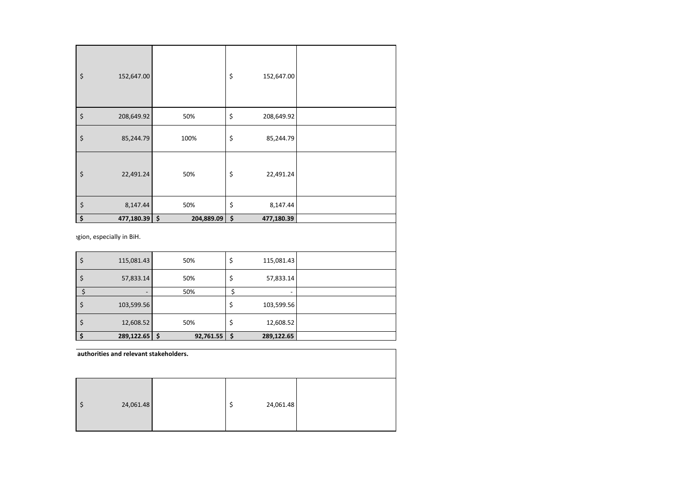| \$<br>152,647.00    |            | \$<br>152,647.00 |  |
|---------------------|------------|------------------|--|
| \$<br>208,649.92    | 50%        | \$<br>208,649.92 |  |
| \$<br>85,244.79     | 100%       | \$<br>85,244.79  |  |
| \$<br>22,491.24     | 50%        | \$<br>22,491.24  |  |
| \$<br>8,147.44      | 50%        | \$<br>8,147.44   |  |
| \$<br>477,180.39 \$ | 204,889.09 | \$<br>477,180.39 |  |

gion, especially in BiH.

|   | 115,081.43 | 50%            | \$ | 115,081.43               |  |
|---|------------|----------------|----|--------------------------|--|
|   | 57,833.14  | 50%            | \$ | 57,833.14                |  |
|   |            | 50%            |    | $\overline{\phantom{a}}$ |  |
|   | 103,599.56 |                | \$ | 103,599.56               |  |
| S | 12,608.52  | 50%            | \$ | 12,608.52                |  |
|   | 289,122.65 | 92,761.55<br>Ś | -Ś | 289,122.65               |  |

 $\zeta$  24,061.48  $\zeta$  24,061.48 authorities and relevant stakeholders.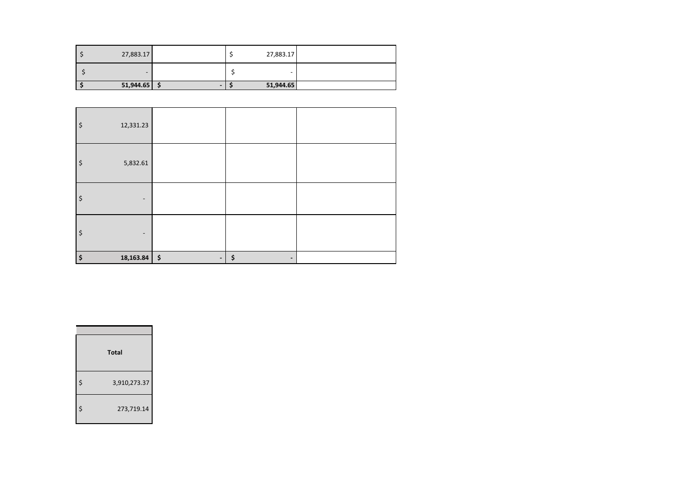|                             | 27,883.17 | 27,883.17 |  |
|-----------------------------|-----------|-----------|--|
| -<br>-                      |           |           |  |
| 51,944.65<br>$51,944.65$ \$ |           |           |  |

| \$<br>12,331.23                |                |    |
|--------------------------------|----------------|----|
| \$<br>5,832.61                 |                |    |
| \$<br>$\overline{\phantom{a}}$ |                |    |
| \$                             |                |    |
| \$<br>$18,163.84$ \$           | $\blacksquare$ | \$ |

| <b>Total</b>       |
|--------------------|
| \$<br>3,910,273.37 |
| \$<br>273,719.14   |